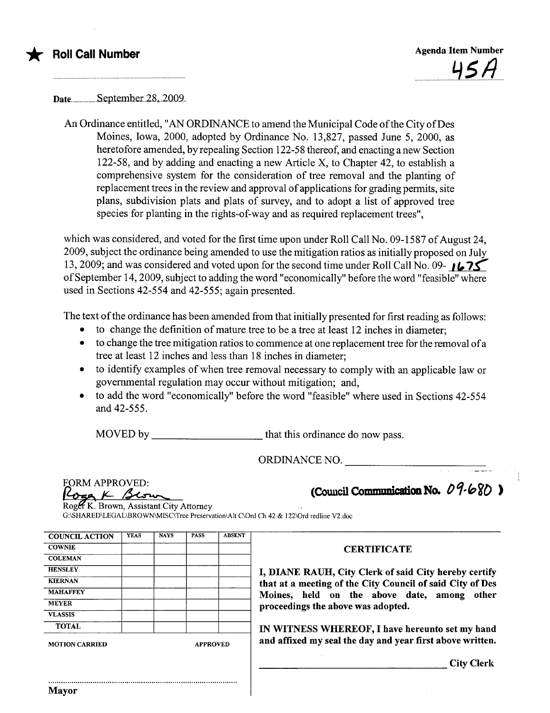

Date...u.....u..u.uS.ept.ember..28,..2009..

An Ordinance entitled, "AN ORDINANCE to amend the Municipal Code of the City of Des Moines, Iowa, 2000, adopted by Ordinance No. 13,827, passed June 5, 2000, as heretofore amended, by repealing Section 122-58 thereof, and enacting anew Section 122-58, and by adding and enacting a new Aricle X, to Chapter 42, to establish a comprehensive system for the consideration of tree removal and the planting of replacement trees in the review and approval of applications for grading permits, site plans, subdivision plats and plats of survey, and to adopt a list of approved tree species for planting in the rights-of-way and as required replacement trees",

which was considered, and voted for the first time upon under Roll Call No. 09-1587 of August 24, 2009, subject the ordinance being amended to use the mitigation ratios as initially proposed on July 13, 2009; and was considered and voted upon for the second time under Roll Call No. 09- 1675 of September 14,2009, subject to adding the word "economically" before the word "feasible" where used in Sections 42-554 and 42-555; again presented.

The text of the ordinance has been amended from that initially presented for first reading as follows:

- to change the definition of mature tree to be a tree at least 12 inches in diameter;
- · to change the tree mitigation ratios to commence at one replacement tree for the removal of a tree at least 12 inches and less than 18 inches in diameter;
- · to identify examples of when tree removal necessary to comply with an applicable law or governental regulation may occur without mitigation; and,
- to add the word "economically" before the word "feasible" where used in Sections 42-554 and 42-555.

MOVED by that this ordinance do now pass.

ORDINANCE NO.

| FORM APPROVED: |  |
|----------------|--|
| Rvca           |  |

(Council Communication No.  $09.680$ )

Roger K. Brown, Assistant City Attorney G:\SHARED\LEGAL\BROWN\MISC\Tree Preservation\Alt C\Ord Ch 42 & 122\Ord redline V2.doc

| <b>COUNCIL ACTION</b> | <b>YEAS</b> | <b>NAYS</b>     | <b>PASS</b> | <b>ABSENT</b> |
|-----------------------|-------------|-----------------|-------------|---------------|
| <b>COWNIE</b>         |             |                 |             |               |
| <b>COLEMAN</b>        |             |                 |             |               |
| <b>HENSLEY</b>        |             |                 |             |               |
| <b>KIERNAN</b>        |             |                 |             |               |
| <b>MAHAFFEY</b>       |             |                 |             |               |
| <b>MEYER</b>          |             |                 |             |               |
| <b>VLASSIS</b>        |             |                 |             |               |
| <b>TOTAL</b>          |             |                 |             |               |
| <b>MOTION CARRIED</b> |             | <b>APPROVED</b> |             |               |

..........................................................................................

**CERTIFICATE** 

I, DIANE RAUH, City Clerk of said City hereby certify that at a meeting of the City Council of said City of Des Moines, held on the above date, among other proceedings the above was adopted.

IN WITNESS WHEREOF, I have hereunto set my hand and affixed my seal the day and year first above written.

City Clerk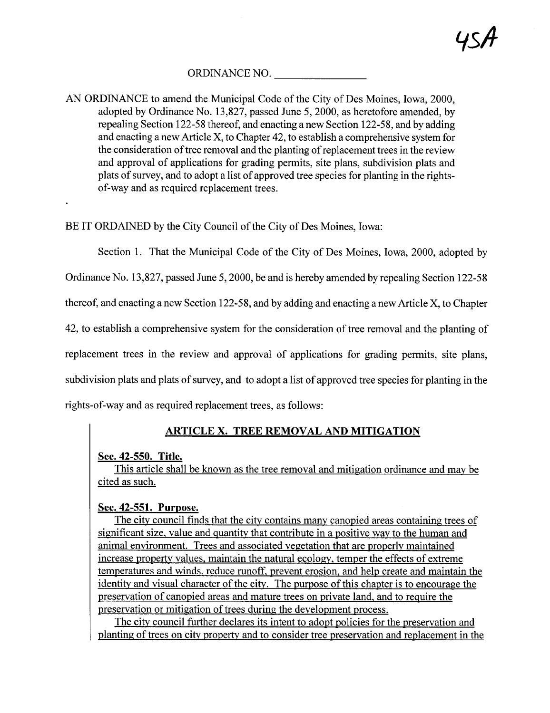# ORDINANCE NO.

AN ORDINANCE to amend the Municipal Code of the City of Des Moines, Iowa, 2000, adopted by Ordinance No. 13,827, passed June 5, 2000, as heretofore amended, by repealing Section 122-58 thereof, and enacting anew Section 122-58, and by adding and enacting a new Aricle X, to Chapter 42, to establish a comprehensive system for the consideration of tree removal and the planting of replacement trees in the review and approval of applications for grading permits, site plans, subdivision plats and plats of surey, and to adopt a list of approved tree species for planting in the rightsof-way and as required replacement trees.

BE IT ORDAINED by the City Council of the City of Des Moines, Iowa:

Section 1. That the Municipal Code of the City of Des Moines, Iowa, 2000, adopted by

Ordinance No. 13,827, passed June 5, 2000, be and is hereby amended by repealing Section 122-58

thereof, and enacting a new Section 122-58, and by adding and enacting a new Aricle X, to Chapter

42, to establish a comprehensive system for the consideration of tree removal and the planting of

replacement trees in the review and approval of applications for grading permits, site plans,

subdivision plats and plats of survey, and to adopt a list of approved tree species for planting in the

rights-of-way and as required replacement trees, as follows:

# ARTICLE X. TREE REMOVAL AND MITIGATION

### Sec. 42-550. Title.

This article shall be known as the tree removal and mitigation ordinance and may be cited as such.

# Sec. 42-551. Purpose.

The city council finds that the city contains many canopied areas containing trees of significant size. value and quantity that contribute in a positive way to the human and animal environment. Trees and associated vegetation that are properly maintained increase property values. maintain the natural ecology. temper the effects of extreme temperatures and winds. reduce runoff. prevent erosion. and help create and maintain the identity and visual character of the city. The purose of this chapter is to encourage the preservation of canopied areas and mature trees on private land, and to require the preservation or mitigation of trees during the development process.

The city council further declares its intent to adopt policies for the preservation and planting of trees on city property and to consider tree preservation and replacement in the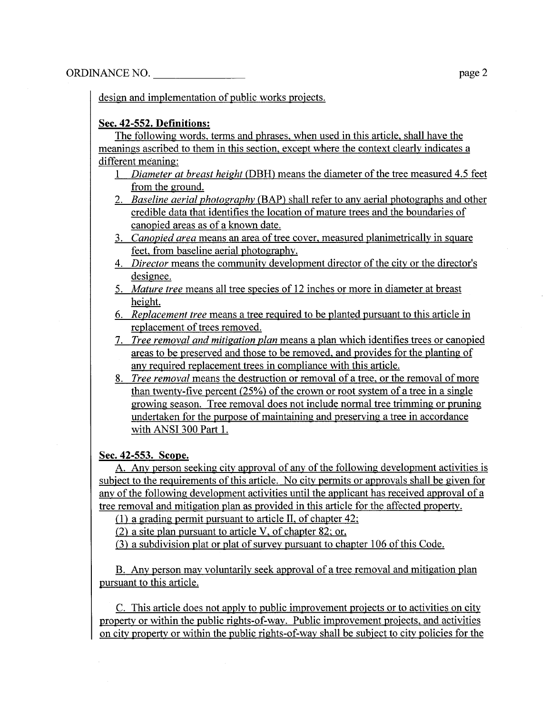design and implementation of public works projects.

### Sec. 42-552. Definitions:

The following words. terms and phrases. when used in this article. shall have the meanings ascribed to them in this section. except where the context clearly indicates a different meaning:

- 1 Diameter at breast height (DBH) means the diameter of the tree measured 4.5 feet from the ground.
- 2. Baseline aerial photography (BAP) shall refer to any aerial photographs and other credible data that identifies the location of mature trees and the boundaries of canopied areas as of a known date.
- 3. Canopied area means an area of tree cover, measured planimetrically in square feet. from baseline aerial photography.
- 4. Director means the community development director of the city or the director's designee.
- 5. Mature tree means all tree species of 12 inches or more in diameter at breast height.
- 6. Replacement tree means a tree required to be planted pursuant to this article in replacement of trees removed.
- 7. Tree removal and mitigation plan means a plan which identifies trees or canopied areas to be preserved and those to be removed. and provides for the planting of any required replacement trees in compliance with this article.
- 8. Tree removal means the destruction or removal of a tree. or the removal of more than twenty-five percent (25%) of the crown or root system of a tree in a single growing season. Tree removal does not include normal tree trimming or pruning undertaken for the purpose of maintaining and preserving a tree in accordance with ANSI 300 Part 1.

### Sec. 42-553. Scope.

A. Any person seeking city approval of any of the following development activities is subject to the requirements of this article. No city permits or approvals shall be given for any ofthe following development activities until the applicant has received approval of a tree removal and mitigation plan as provided in this aricle for the affected propert.

(1) a grading permit pursuant to aricle II. of chapter 42:

(2) a site plan pursuant to article V. of chapter 82: or.

(3) a subdivision plat or plat of survey pursuant to chapter 106 of this Code.

B. Any person may voluntarily seek approval of a tree removal and mitigation plan pursuant to this article.

C. This article does not apply to public improvement projects or to activities on city property or within the public rights-of-way. Public improvement projects, and activities on city property or within the public rights-of-way shall be subject to city policies for the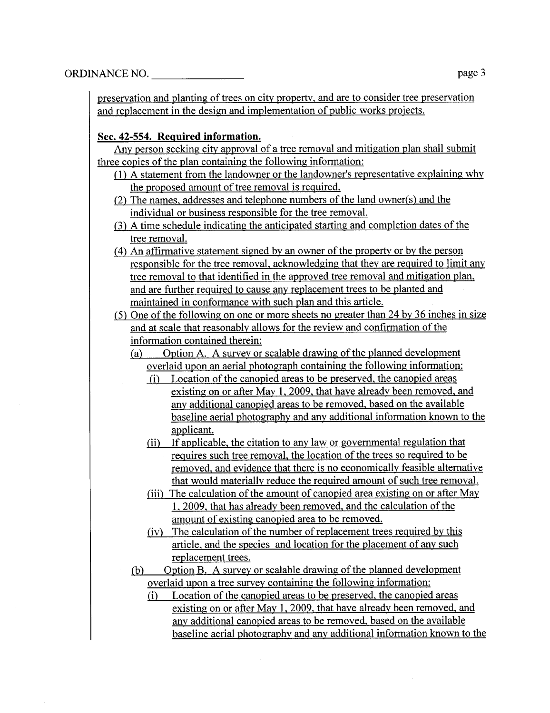preservation and planting of trees on city property, and are to consider tree preservation and replacement in the design and implementation of public works projects.

### Sec. 42-554. ReQuired information.

Any person seeking city approval of a tree removal and mitigation plan shall submit three copies of the plan containing the following information:

- (1) A statement from the landowner or the landowner's representative explaining why the proposed amount of tree removal is required.
- (2) The names, addresses and telephone numbers of the land owner(s) and the individual or business responsible for the tree removaL.
- (3) A time schedule indicating the anticipated starting and completion dates of the tree removaL.
- (4) An affirmative statement signed by an owner of the property or by the person responsible for the tree removal, acknowledging that they are required to limit any tree removal to that identified in the approved tree removal and mitigation plan. and are further required to cause any replacement trees to be planted and maintained in conformance with such plan and this aricle.
- (5) One of the following on one or more sheets no greater than  $24$  by  $36$  inches in size and at scale that reasonably allows for the review and confirmation of the information contained therein:
	- (a) Option A. A survey or scalable drawing of the planned development overlaid upon an aerial photograph containing the following information:
		- (i) Location of the canopied areas to be preserved, the canopied areas existing on or after May 1. 2009. that have already been removed. and any additional canopied areas to be removed. based on the available baseline aerial photography and any additional information known to the applicant.
		- (ii) If applicable, the citation to any law or governmental regulation that requires such tree removal, the location of the trees so required to be removed. and evidence that there is no economically feasible alternative that would materially reduce the required amount of such tree removaL.
		- (iii) The calculation of the amount of canopied area existing on or after May 1.2009. that has already been removed. and the calculation of the amount of existing canopied area to be removed.
		- (iv) The calculation of the number of replacement trees required by this aricle. and the species and location for the placement of any such replacement trees.
	- (b) Option B. A survey or scalable drawing of the planned development overlaid upon a tree survey containing the following information:
		- (i) Location of the canopied areas to be preserved, the canopied areas existing on or after May 1, 2009, that have already been removed, and any additional canopied areas to be removed, based on the available baseline aerial photography and any additional information known to the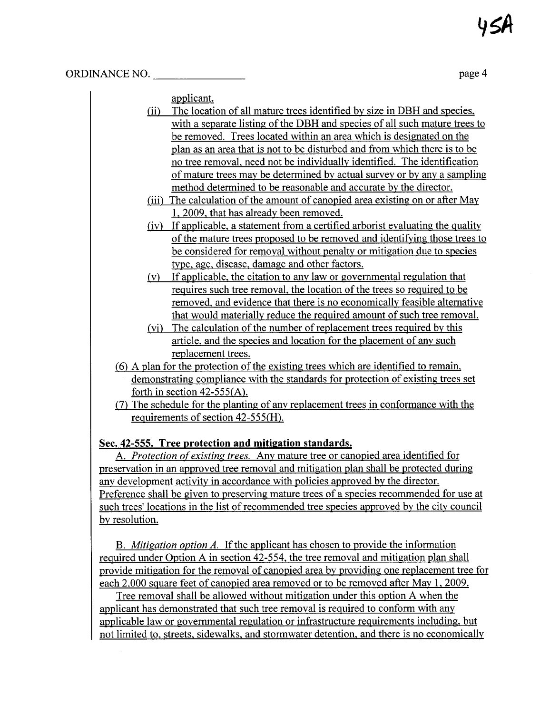applicant.

- $(i)$  The location of all mature trees identified by size in DBH and species, with a separate listing of the DBH and species of all such mature trees to be removed. Trees located within an area which is designated on the plan as an area that is not to be disturbed and from which there is to be no tree removaL. need not be individually identified. The identification of mature trees may be determined by actual surveyor by any a sampling method determined to be reasonable and accurate by the director.
- (iii) The calculation of the amount of canopied area existing on or after May L 2009. that has already been removed.
- (iv) If applicable. a statement from a certified arborist evaluating the quality of the mature trees proposed to be removed and identifying those trees to be considered for removal without penalty or mitigation due to species type. age, disease. damage and other factors.
- (v) If applicable. the citation to any law or governental regulation that requires such tree removaL. the location of the trees so required to be removed. and evidence that there is no economically feasible alternative that would materially reduce the required amount of such tree removaL.
- (vi) The calculation of the number of replacement trees required by this aricle. and the species and location for the placement of any such replacement trees.
- (6) A plan for the protection of the existing trees which are identified to remain. demonstrating compliance with the standards for protection of existing trees set forth in section 42-555(A).
- (7) The schedule for the planting of any replacement trees in conformance with the requirements of section 42-555(H).

# Sec. 42-555. Tree protection and mitigation standards.

A. Protection of existing trees. Any mature tree or canopied area identified for preservation in an approved tree removal and mitigation plan shall be protected during any development activity in accordance with policies approved by the director. Preference shall be given to preserving mature trees of a species recommended for use at such trees' locations in the list of recommended tree species approved by the city council by resolution.

B. *Mitigation option A*. If the applicant has chosen to provide the information required under Option A in section 42-554. the tree removal and mitigation plan shall provide mitigation for the removal of canopied area by providing one replacement tree for each 2,000 square feet of canopied area removed or to be removed after May 1, 2009.

Tree removal shall be allowed without mitigation under this option A when the applicant has demonstrated that such tree removal is required to conform with any applicable law or governental regulation or infrastructure requirements including. but not limited to, streets. sidewalks. and stormwater detention. and there is no economically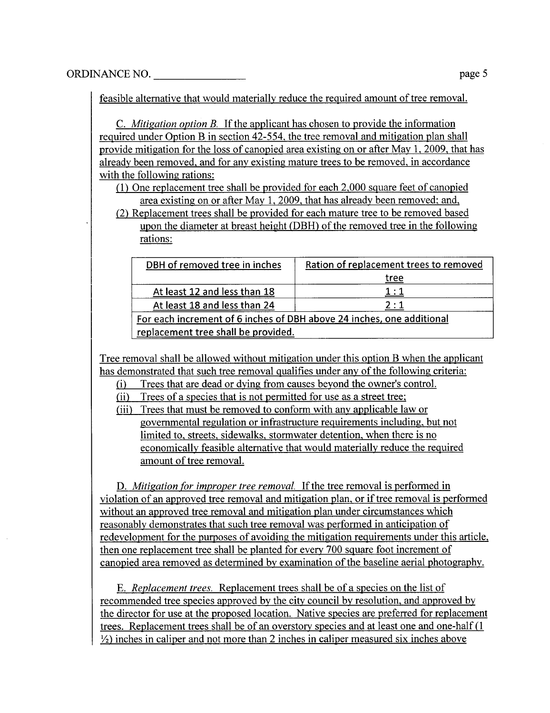feasible alternative that would materially reduce the required amount of tree removaL.

C. Mitigation option B. If the applicant has chosen to provide the information required under Option B in section 42-554. the tree removal and mitigation plan shall provide mitigation for the loss of canopied area existing on or after May 1. 2009. that has already been removed. and for any existing mature trees to be removed, in accordance with the following rations:

(1) One replacement tree shall be provided for each 2.000 square feet of canopied area existing on or after May 1, 2009, that has already been removed; and,

(2) Replacement trees shall be provided for each mature tree to be removed based upon the diameter at breast height (DBH) of the removed tree in the following rations:

| DBH of removed tree in inches                                         | Ration of replacement trees to removed |  |  |  |
|-----------------------------------------------------------------------|----------------------------------------|--|--|--|
|                                                                       | <u>tree</u>                            |  |  |  |
| At least 12 and less than 18                                          | 1:1                                    |  |  |  |
| At least 18 and less than 24                                          | 2:1                                    |  |  |  |
| For each increment of 6 inches of DBH above 24 inches, one additional |                                        |  |  |  |
| replacement tree shall be provided.                                   |                                        |  |  |  |

Tree removal shall be allowed without mitigation under this option B when the applicant has demonstrated that such tree removal qualifies under any of the following criteria:

(i) Trees that are dead or dying from causes beyond the owner's control.

(ii) Trees of a species that is not permitted for use as a street tree;

(iii) Trees that must be removed to conform with any applicable law or governental regulation or infrastructure requirements including. but not limited to. streets. sidewalks. stormwater detention. when there is no economically feasible alternative that would materially reduce the required amount of tree removaL.

D. Mitigation for improper tree removal. If the tree removal is performed in violation of an approved tree removal and mitigation plan. or if tree removal is performed without an approved tree removal and mitigation plan under circumstances which reasonably demonstrates that such tree removal was performed in anticipation of redevelopment for the purposes of avoiding the mitigation requirements under this article, then one replacement tree shall be planted for everv 700 square foot increment of canopied area removed as determined by examination of the baseline aerial photography.

E. Replacement trees. Replacement trees shall be of a species on the list of recommended tree species approved by the city council by resolution, and approved by the director for use at the proposed location. Native species are preferred for replacement trees. Replacement trees shall be of an overstorv species and at least one and one-half (1  $\frac{1}{2}$ ) inches in caliper and not more than 2 inches in caliper measured six inches above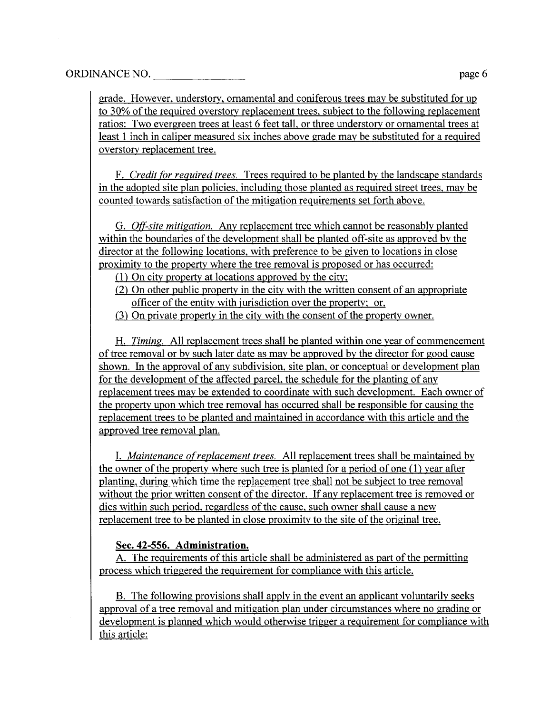grade. However. understory. ornamental and coniferous trees may be substituted for up to 30% of the required overstory replacement trees. subject to the following replacement ratios: Two evergreen trees at least 6 feet tall. or three understorv or ornamental trees at least 1 inch in caliper measured six inches above grade may be substituted for a required overstory replacement tree.

F. Credit for required trees. Trees required to be planted by the landscape standards in the adopted site plan policies. including those planted as required street trees. may be counted towards satisfaction of the mitigation requirements set forth above.

G. Off-site mitigation. Any replacement tree which cannot be reasonably planted within the boundaries of the development shall be planted off-site as approved by the director at the following locations. with preference to be given to locations in close proximity to the property where the tree removal is proposed or has occurred:

- (1) On city property at locations approved by the city;
- $(2)$  On other public property in the city with the written consent of an appropriate officer of the entity with jurisdiction over the property; or,
- (3) On private property in the city with the consent of the property owner.

H. Timing, All replacement trees shall be planted within one year of commencement of tree removal or by such later date as may be approved by the director for good cause shown. In the approval of any subdivision. site plan. or conceptual or development plan for the development of the affected parcel, the schedule for the planting of any replacement trees may be extended to coordinate with such development. Each owner of the property upon which tree removal has occurred shall be responsible for causing the replacement trees to be planted and maintained in accordance with this article and the approved tree removal plan.

I. Maintenance of replacement trees. All replacement trees shall be maintained by the owner of the property where such tree is planted for a period of one (1) year after planting. during which time the replacement tree shall not be subject to tree removal without the prior written consent of the director. If any replacement tree is removed or dies within such period. regardless of the cause. such owner shall cause a new replacement tree to be planted in close proximity to the site of the original tree.

#### Sec. 42-556. Administration.

A. The requirements of this article shall be administered as part of the permitting process which triggered the requirement for compliance with this article.

B. The following provisions shall apply in the event an applicant voluntarily seeks approval of a tree removal and mitigation plan under circumstances where no grading or development is planned which would otherwise trigger a requirement for compliance with this article: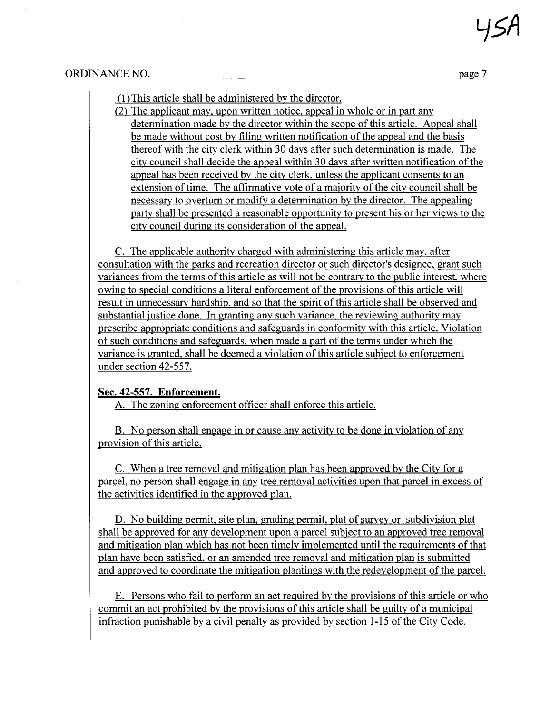#### ORDINANCE NO. page 7

(1 ) This aricle shall be administered by the director.

(2) The applicant may. upon written notice. appeal in whole or in part any determination made by the director within the scope of this article. Appeal shall be made without cost by fiing written notification of the appeal and the basis thereof with the city clerk within 30 days after such determination is made. The city council shall decide the appeal within 30 days after written notification of the appeal has been received by the city clerk. unless the applicant consents to an extension of time. The affirmative vote of a majority of the city council shall be necessary to overturn or modify a determination by the director. The appealing party shall be presented a reasonable opportunity to present his or her views to the city council during its consideration of the appeaL.

C. The applicable authority charged with administering this article may. after consultation with the parks and recreation director or such director's designee. grant such variances from the terms of this aricle as wil not be contrary to the public interest. where owing to special conditions a literal enforcement of the provisions of this article wil result in unnecessary hardship, and so that the spirit of this article shall be observed and substantial justice done. In granting any such variance. the reviewing authority may prescribe appropriate conditions and safeguards in conformity with this article. Violation of such conditions and safeguards. when made a part of the terms under which the variance is granted. shall be deemed a violation of this article subject to enforcement under section 42-557.

# Sec. 42-557. Enforcement.

A. The zoning enforcement officer shall enforce this article.

B. No person shall engage in or cause any activity to be done in violation of any provision of this article.

C. When a tree removal and mitigation plan has been approved by the City for a parceL. no person shall engage in any tree removal activities upon that parcel in excess of the activities identified in the approved plan.

D. No building permit, site plan, grading permit, plat of survey or subdivision plat shall be approved for any development upon a parcel subject to an approved tree removal and mitigation plan which has not been timely implemented until the requirements of that plan have been satisfied. or an amended tree removal and mitigation plan is submitted and approved to coordinate the mitigation plantings with the redevelopment of the parcel.

E. Persons who fail to perform an act required by the provisions of this article or who commit an act prohibited by the provisions of this aricle shall be guilty of a municipal infraction punishable by a civil penalty as provided by section 1-15 of the City Code.